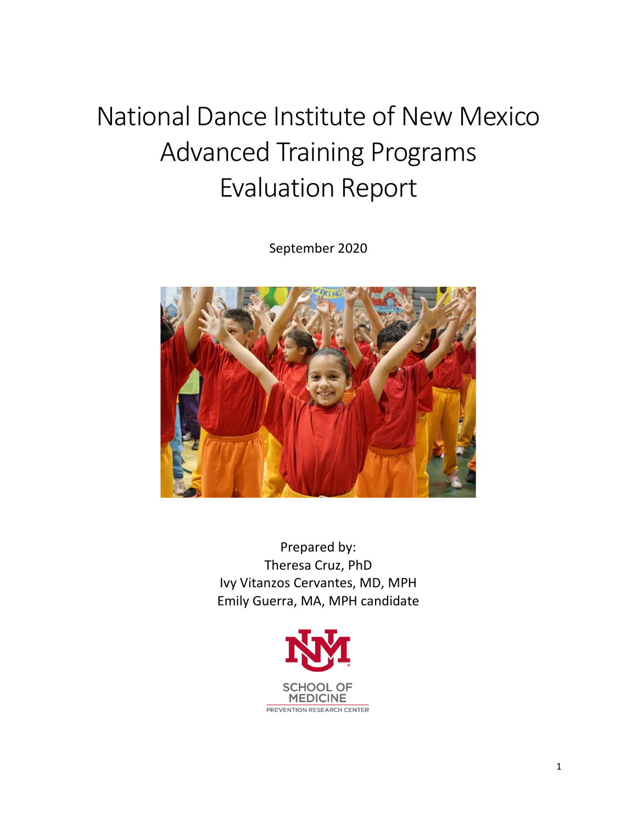# National Dance Institute of New Mexico Advanced Training Programs Evaluation Report

September 2020



Prepared by: Theresa Cruz, PhD Ivy Vitanzos Cervantes, MD, MPH Emily Guerra, MA, MPH candidate

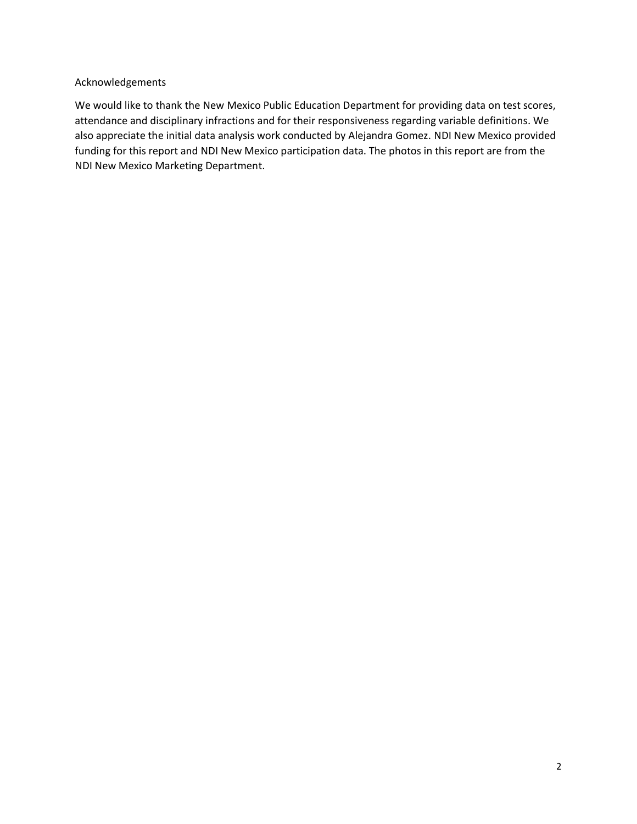#### Acknowledgements

We would like to thank the New Mexico Public Education Department for providing data on test scores, attendance and disciplinary infractions and for their responsiveness regarding variable definitions. We also appreciate the initial data analysis work conducted by Alejandra Gomez. NDI New Mexico provided funding for this report and NDI New Mexico participation data. The photos in this report are from the NDI New Mexico Marketing Department.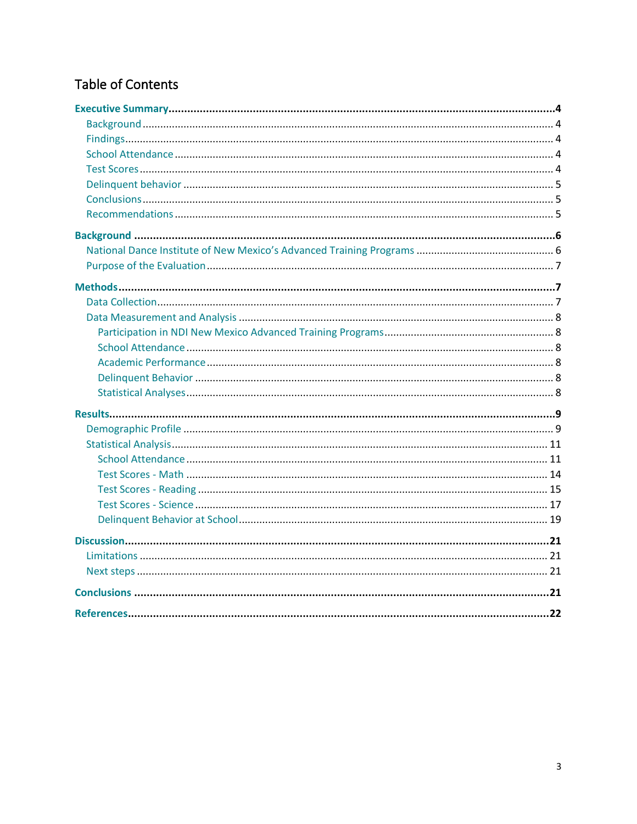# Table of Contents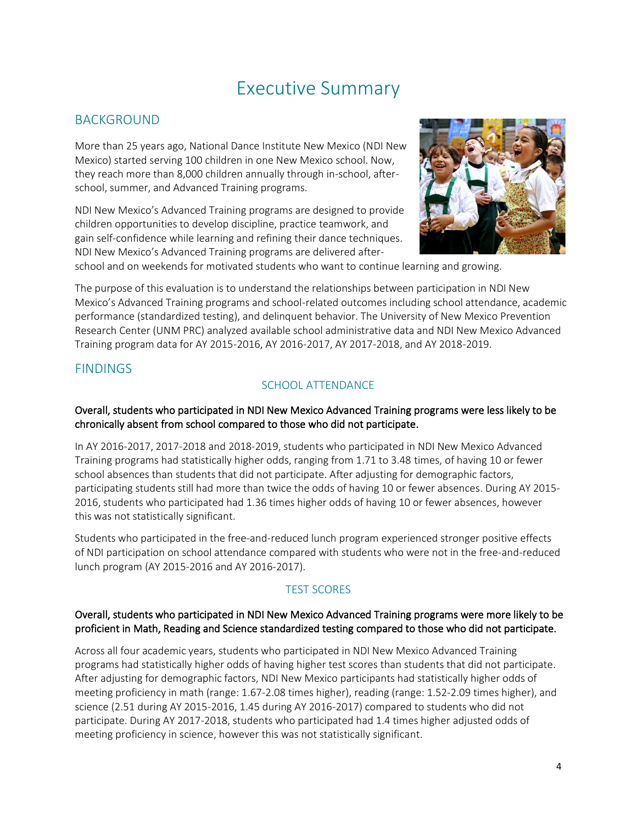# Executive Summary

# BACKGROUND

More than 25 years ago, National Dance Institute New Mexico (NDI New Mexico) started serving 100 children in one New Mexico school. Now, they reach more than 8,000 children annually through in-school, afterschool, summer, and Advanced Training programs.

NDI New Mexico's Advanced Training programs are designed to provide children opportunities to develop discipline, practice teamwork, and gain self-confidence while learning and refining their dance techniques. NDI New Mexico's Advanced Training programs are delivered after-



school and on weekends for motivated students who want to continue learning and growing.

The purpose of this evaluation is to understand the relationships between participation in NDI New Mexico's Advanced Training programs and school-related outcomes including school attendance, academic performance (standardized testing), and delinquent behavior. The University of New Mexico Prevention Research Center (UNM PRC) analyzed available school administrative data and NDI New Mexico Advanced Training program data for AY 2015-2016, AY 2016-2017, AY 2017-2018, and AY 2018-2019.

# **FINDINGS**

# SCHOOL ATTENDANCE

#### Overall, students who participated in NDI New Mexico Advanced Training programs were less likely to be chronically absent from school compared to those who did not participate.

In AY 2016-2017, 2017-2018 and 2018-2019, students who participated in NDI New Mexico Advanced Training programs had statistically higher odds, ranging from 1.71 to 3.48 times, of having 10 or fewer school absences than students that did not participate. After adjusting for demographic factors, participating students still had more than twice the odds of having 10 or fewer absences. During AY 2015- 2016, students who participated had 1.36 times higher odds of having 10 or fewer absences, however this was not statistically significant.

Students who participated in the free-and-reduced lunch program experienced stronger positive effects of NDI participation on school attendance compared with students who were not in the free-and-reduced lunch program (AY 2015-2016 and AY 2016-2017).

# TEST SCORES

#### Overall, students who participated in NDI New Mexico Advanced Training programs were more likely to be proficient in Math, Reading and Science standardized testing compared to those who did not participate.

Across all four academic years, students who participated in NDI New Mexico Advanced Training programs had statistically higher odds of having higher test scores than students that did not participate. After adjusting for demographic factors, NDI New Mexico participants had statistically higher odds of meeting proficiency in math (range: 1.67-2.08 times higher), reading (range: 1.52-2.09 times higher), and science (2.51 during AY 2015-2016, 1.45 during AY 2016-2017) compared to students who did not participate. During AY 2017-2018, students who participated had 1.4 times higher adjusted odds of meeting proficiency in science, however this was not statistically significant.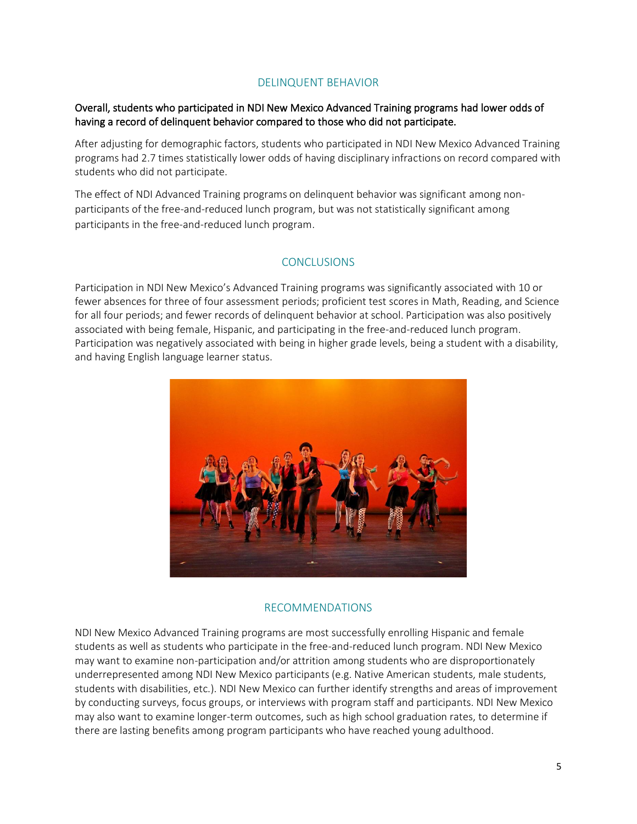#### DELINQUENT BEHAVIOR

#### Overall, students who participated in NDI New Mexico Advanced Training programs had lower odds of having a record of delinquent behavior compared to those who did not participate.

After adjusting for demographic factors, students who participated in NDI New Mexico Advanced Training programs had 2.7 times statistically lower odds of having disciplinary infractions on record compared with students who did not participate.

The effect of NDI Advanced Training programs on delinquent behavior was significant among nonparticipants of the free-and-reduced lunch program, but was not statistically significant among participants in the free-and-reduced lunch program.

#### **CONCLUSIONS**

Participation in NDI New Mexico's Advanced Training programs was significantly associated with 10 or fewer absences for three of four assessment periods; proficient test scores in Math, Reading, and Science for all four periods; and fewer records of delinquent behavior at school. Participation was also positively associated with being female, Hispanic, and participating in the free-and-reduced lunch program. Participation was negatively associated with being in higher grade levels, being a student with a disability, and having English language learner status.



#### RECOMMENDATIONS

NDI New Mexico Advanced Training programs are most successfully enrolling Hispanic and female students as well as students who participate in the free-and-reduced lunch program. NDI New Mexico may want to examine non-participation and/or attrition among students who are disproportionately underrepresented among NDI New Mexico participants (e.g. Native American students, male students, students with disabilities, etc.). NDI New Mexico can further identify strengths and areas of improvement by conducting surveys, focus groups, or interviews with program staff and participants. NDI New Mexico may also want to examine longer-term outcomes, such as high school graduation rates, to determine if there are lasting benefits among program participants who have reached young adulthood.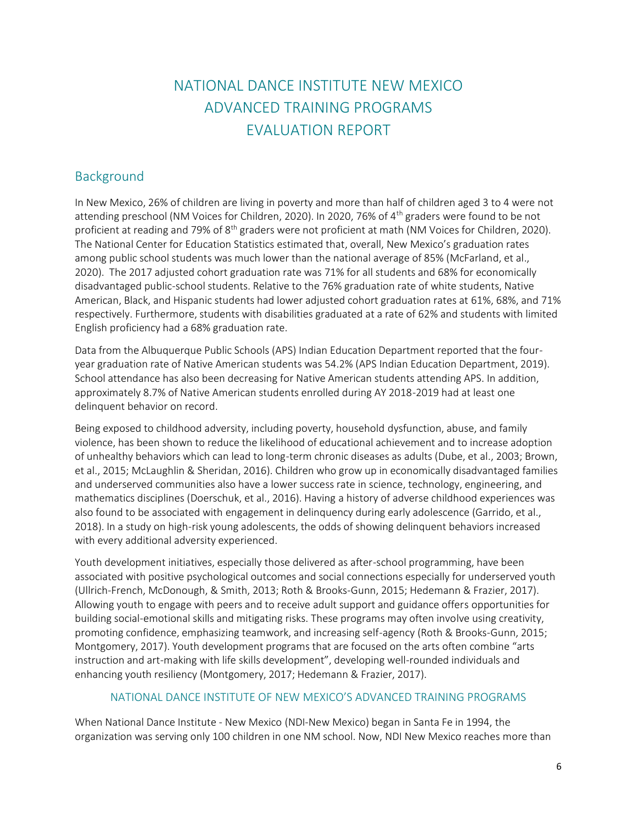# NATIONAL DANCE INSTITUTE NEW MEXICO ADVANCED TRAINING PROGRAMS EVALUATION REPORT

# **Background**

In New Mexico, 26% of children are living in poverty and more than half of children aged 3 to 4 were not attending preschool (NM Voices for Children, 2020). In 2020, 76% of 4th graders were found to be not proficient at reading and 79% of 8<sup>th</sup> graders were not proficient at math (NM Voices for Children, 2020). The National Center for Education Statistics estimated that, overall, New Mexico's graduation rates among public school students was much lower than the national average of 85% (McFarland, et al., 2020). The 2017 adjusted cohort graduation rate was 71% for all students and 68% for economically disadvantaged public-school students. Relative to the 76% graduation rate of white students, Native American, Black, and Hispanic students had lower adjusted cohort graduation rates at 61%, 68%, and 71% respectively. Furthermore, students with disabilities graduated at a rate of 62% and students with limited English proficiency had a 68% graduation rate.

Data from the Albuquerque Public Schools (APS) Indian Education Department reported that the fouryear graduation rate of Native American students was 54.2% (APS Indian Education Department, 2019). School attendance has also been decreasing for Native American students attending APS. In addition, approximately 8.7% of Native American students enrolled during AY 2018-2019 had at least one delinquent behavior on record.

Being exposed to childhood adversity, including poverty, household dysfunction, abuse, and family violence, has been shown to reduce the likelihood of educational achievement and to increase adoption of unhealthy behaviors which can lead to long-term chronic diseases as adults (Dube, et al., 2003; Brown, et al., 2015; McLaughlin & Sheridan, 2016). Children who grow up in economically disadvantaged families and underserved communities also have a lower success rate in science, technology, engineering, and mathematics disciplines (Doerschuk, et al., 2016). Having a history of adverse childhood experiences was also found to be associated with engagement in delinquency during early adolescence (Garrido, et al., 2018). In a study on high-risk young adolescents, the odds of showing delinquent behaviors increased with every additional adversity experienced.

Youth development initiatives, especially those delivered as after-school programming, have been associated with positive psychological outcomes and social connections especially for underserved youth (Ullrich-French, McDonough, & Smith, 2013; Roth & Brooks-Gunn, 2015; Hedemann & Frazier, 2017). Allowing youth to engage with peers and to receive adult support and guidance offers opportunities for building social-emotional skills and mitigating risks. These programs may often involve using creativity, promoting confidence, emphasizing teamwork, and increasing self-agency (Roth & Brooks-Gunn, 2015; Montgomery, 2017). Youth development programs that are focused on the arts often combine "arts instruction and art-making with life skills development", developing well-rounded individuals and enhancing youth resiliency (Montgomery, 2017; Hedemann & Frazier, 2017).

#### NATIONAL DANCE INSTITUTE OF NEW MEXICO'S ADVANCED TRAINING PROGRAMS

When National Dance Institute - New Mexico (NDI-New Mexico) began in Santa Fe in 1994, the organization was serving only 100 children in one NM school. Now, NDI New Mexico reaches more than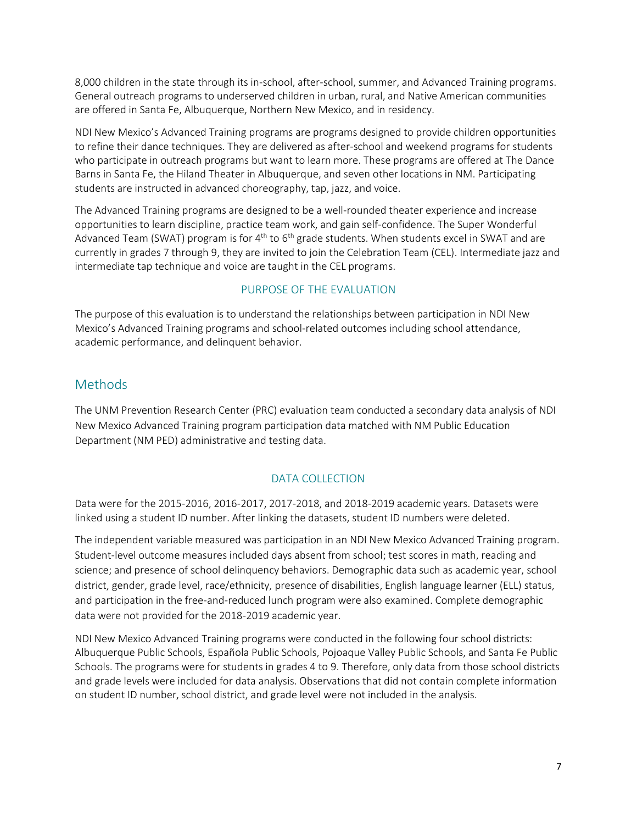8,000 children in the state through its in-school, after-school, summer, and Advanced Training programs. General outreach programs to underserved children in urban, rural, and Native American communities are offered in Santa Fe, Albuquerque, Northern New Mexico, and in residency.

NDI New Mexico's Advanced Training programs are programs designed to provide children opportunities to refine their dance techniques. They are delivered as after-school and weekend programs for students who participate in outreach programs but want to learn more. These programs are offered at The Dance Barns in Santa Fe, the Hiland Theater in Albuquerque, and seven other locations in NM. Participating students are instructed in advanced choreography, tap, jazz, and voice.

The Advanced Training programs are designed to be a well-rounded theater experience and increase opportunities to learn discipline, practice team work, and gain self-confidence. The Super Wonderful Advanced Team (SWAT) program is for  $4<sup>th</sup>$  to 6<sup>th</sup> grade students. When students excel in SWAT and are currently in grades 7 through 9, they are invited to join the Celebration Team (CEL). Intermediate jazz and intermediate tap technique and voice are taught in the CEL programs.

#### PURPOSE OF THE EVALUATION

The purpose of this evaluation is to understand the relationships between participation in NDI New Mexico's Advanced Training programs and school-related outcomes including school attendance, academic performance, and delinquent behavior.

# **Methods**

The UNM Prevention Research Center (PRC) evaluation team conducted a secondary data analysis of NDI New Mexico Advanced Training program participation data matched with NM Public Education Department (NM PED) administrative and testing data.

#### DATA COLLECTION

Data were for the 2015-2016, 2016-2017, 2017-2018, and 2018-2019 academic years. Datasets were linked using a student ID number. After linking the datasets, student ID numbers were deleted.

The independent variable measured was participation in an NDI New Mexico Advanced Training program. Student-level outcome measures included days absent from school; test scores in math, reading and science; and presence of school delinquency behaviors. Demographic data such as academic year, school district, gender, grade level, race/ethnicity, presence of disabilities, English language learner (ELL) status, and participation in the free-and-reduced lunch program were also examined. Complete demographic data were not provided for the 2018-2019 academic year.

NDI New Mexico Advanced Training programs were conducted in the following four school districts: Albuquerque Public Schools, Española Public Schools, Pojoaque Valley Public Schools, and Santa Fe Public Schools. The programs were for students in grades 4 to 9. Therefore, only data from those school districts and grade levels were included for data analysis. Observations that did not contain complete information on student ID number, school district, and grade level were not included in the analysis.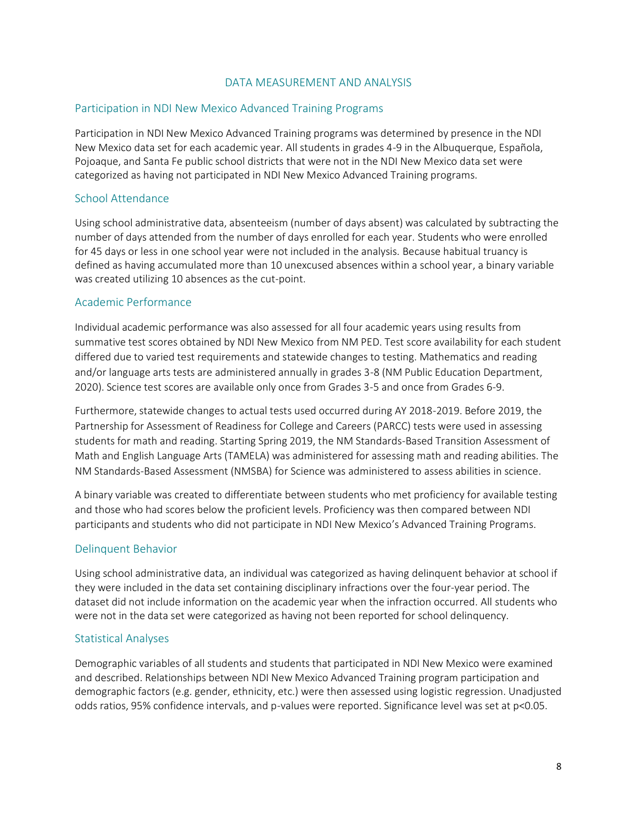#### DATA MEASUREMENT AND ANALYSIS

#### Participation in NDI New Mexico Advanced Training Programs

Participation in NDI New Mexico Advanced Training programs was determined by presence in the NDI New Mexico data set for each academic year. All students in grades 4-9 in the Albuquerque, Española, Pojoaque, and Santa Fe public school districts that were not in the NDI New Mexico data set were categorized as having not participated in NDI New Mexico Advanced Training programs.

#### School Attendance

Using school administrative data, absenteeism (number of days absent) was calculated by subtracting the number of days attended from the number of days enrolled for each year. Students who were enrolled for 45 days or less in one school year were not included in the analysis. Because habitual truancy is defined as having accumulated more than 10 unexcused absences within a school year, a binary variable was created utilizing 10 absences as the cut-point.

#### Academic Performance

Individual academic performance was also assessed for all four academic years using results from summative test scores obtained by NDI New Mexico from NM PED. Test score availability for each student differed due to varied test requirements and statewide changes to testing. Mathematics and reading and/or language arts tests are administered annually in grades 3-8 (NM Public Education Department, 2020). Science test scores are available only once from Grades 3-5 and once from Grades 6-9.

Furthermore, statewide changes to actual tests used occurred during AY 2018-2019. Before 2019, the Partnership for Assessment of Readiness for College and Careers (PARCC) tests were used in assessing students for math and reading. Starting Spring 2019, the NM Standards-Based Transition Assessment of Math and English Language Arts (TAMELA) was administered for assessing math and reading abilities. The NM Standards-Based Assessment (NMSBA) for Science was administered to assess abilities in science.

A binary variable was created to differentiate between students who met proficiency for available testing and those who had scores below the proficient levels. Proficiency was then compared between NDI participants and students who did not participate in NDI New Mexico's Advanced Training Programs.

#### Delinquent Behavior

Using school administrative data, an individual was categorized as having delinquent behavior at school if they were included in the data set containing disciplinary infractions over the four-year period. The dataset did not include information on the academic year when the infraction occurred. All students who were not in the data set were categorized as having not been reported for school delinquency.

#### Statistical Analyses

Demographic variables of all students and students that participated in NDI New Mexico were examined and described. Relationships between NDI New Mexico Advanced Training program participation and demographic factors (e.g. gender, ethnicity, etc.) were then assessed using logistic regression. Unadjusted odds ratios, 95% confidence intervals, and p-values were reported. Significance level was set at p<0.05.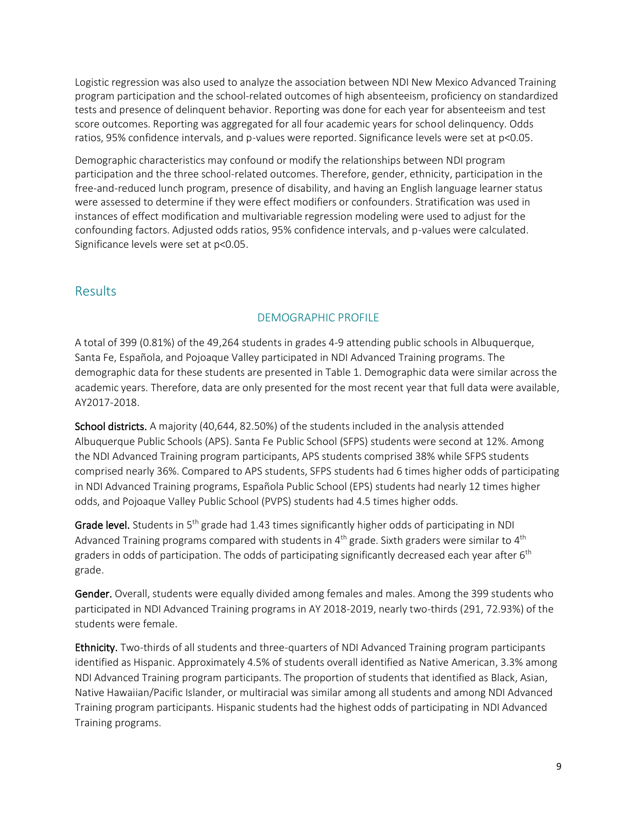Logistic regression was also used to analyze the association between NDI New Mexico Advanced Training program participation and the school-related outcomes of high absenteeism, proficiency on standardized tests and presence of delinquent behavior. Reporting was done for each year for absenteeism and test score outcomes. Reporting was aggregated for all four academic years for school delinquency. Odds ratios, 95% confidence intervals, and p-values were reported. Significance levels were set at p<0.05.

Demographic characteristics may confound or modify the relationships between NDI program participation and the three school-related outcomes. Therefore, gender, ethnicity, participation in the free-and-reduced lunch program, presence of disability, and having an English language learner status were assessed to determine if they were effect modifiers or confounders. Stratification was used in instances of effect modification and multivariable regression modeling were used to adjust for the confounding factors. Adjusted odds ratios, 95% confidence intervals, and p-values were calculated. Significance levels were set at p<0.05.

# Results

# DEMOGRAPHIC PROFILE

A total of 399 (0.81%) of the 49,264 students in grades 4-9 attending public schools in Albuquerque, Santa Fe, Española, and Pojoaque Valley participated in NDI Advanced Training programs. The demographic data for these students are presented in Table 1. Demographic data were similar across the academic years. Therefore, data are only presented for the most recent year that full data were available, AY2017-2018.

School districts. A majority (40,644, 82.50%) of the students included in the analysis attended Albuquerque Public Schools (APS). Santa Fe Public School (SFPS) students were second at 12%. Among the NDI Advanced Training program participants, APS students comprised 38% while SFPS students comprised nearly 36%. Compared to APS students, SFPS students had 6 times higher odds of participating in NDI Advanced Training programs, Española Public School (EPS) students had nearly 12 times higher odds, and Pojoaque Valley Public School (PVPS) students had 4.5 times higher odds.

Grade level. Students in 5<sup>th</sup> grade had 1.43 times significantly higher odds of participating in NDI Advanced Training programs compared with students in 4<sup>th</sup> grade. Sixth graders were similar to 4<sup>th</sup> graders in odds of participation. The odds of participating significantly decreased each year after 6<sup>th</sup> grade.

Gender. Overall, students were equally divided among females and males. Among the 399 students who participated in NDI Advanced Training programs in AY 2018-2019, nearly two-thirds (291, 72.93%) of the students were female.

Ethnicity. Two-thirds of all students and three-quarters of NDI Advanced Training program participants identified as Hispanic. Approximately 4.5% of students overall identified as Native American, 3.3% among NDI Advanced Training program participants. The proportion of students that identified as Black, Asian, Native Hawaiian/Pacific Islander, or multiracial was similar among all students and among NDI Advanced Training program participants. Hispanic students had the highest odds of participating in NDI Advanced Training programs.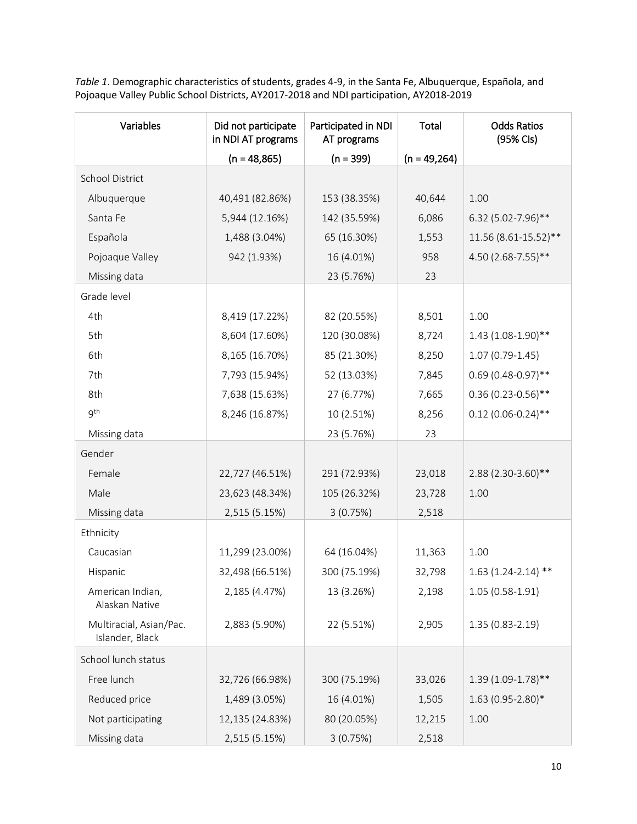*Table 1*. Demographic characteristics of students, grades 4-9, in the Santa Fe, Albuquerque, Española, and Pojoaque Valley Public School Districts, AY2017-2018 and NDI participation, AY2018-2019

| Variables                                  | Did not participate<br>in NDI AT programs | Participated in NDI<br>AT programs | Total          | <b>Odds Ratios</b><br>(95% Cls) |
|--------------------------------------------|-------------------------------------------|------------------------------------|----------------|---------------------------------|
|                                            | $(n = 48,865)$                            | $(n = 399)$                        | $(n = 49,264)$ |                                 |
| <b>School District</b>                     |                                           |                                    |                |                                 |
| Albuquerque                                | 40,491 (82.86%)                           | 153 (38.35%)                       | 40,644         | 1.00                            |
| Santa Fe                                   | 5,944 (12.16%)                            | 142 (35.59%)                       | 6,086          | 6.32 (5.02-7.96)**              |
| Española                                   | 1,488 (3.04%)                             | 65 (16.30%)                        | 1,553          | 11.56 (8.61-15.52)**            |
| Pojoaque Valley                            | 942 (1.93%)                               | 16 (4.01%)                         | 958            | 4.50 (2.68-7.55)**              |
| Missing data                               |                                           | 23 (5.76%)                         | 23             |                                 |
| Grade level                                |                                           |                                    |                |                                 |
| 4th                                        | 8,419 (17.22%)                            | 82 (20.55%)                        | 8,501          | 1.00                            |
| 5th                                        | 8,604 (17.60%)                            | 120 (30.08%)                       | 8,724          | $1.43(1.08-1.90)$ **            |
| 6th                                        | 8,165 (16.70%)                            | 85 (21.30%)                        | 8,250          | $1.07(0.79-1.45)$               |
| 7th                                        | 7,793 (15.94%)                            | 52 (13.03%)                        | 7,845          | $0.69(0.48-0.97)$ **            |
| 8th                                        | 7,638 (15.63%)                            | 27 (6.77%)                         | 7,665          | $0.36(0.23-0.56)$ **            |
| gth                                        | 8,246 (16.87%)                            | 10 (2.51%)                         | 8,256          | $0.12(0.06 - 0.24)$ **          |
| Missing data                               |                                           | 23 (5.76%)                         | 23             |                                 |
| Gender                                     |                                           |                                    |                |                                 |
| Female                                     | 22,727 (46.51%)                           | 291 (72.93%)                       | 23,018         | 2.88 (2.30-3.60)**              |
| Male                                       | 23,623 (48.34%)                           | 105 (26.32%)                       | 23,728         | 1.00                            |
| Missing data                               | 2,515 (5.15%)                             | 3(0.75%)                           | 2,518          |                                 |
| Ethnicity                                  |                                           |                                    |                |                                 |
| Caucasian                                  | 11,299 (23.00%)                           | 64 (16.04%)                        | 11,363         | 1.00                            |
| Hispanic                                   | 32,498 (66.51%)                           | 300 (75.19%)                       | 32,798         | $1.63(1.24-2.14)$ **            |
| American Indian,<br>Alaskan Native         | 2,185 (4.47%)                             | 13 (3.26%)                         | 2,198          | $1.05(0.58-1.91)$               |
| Multiracial, Asian/Pac.<br>Islander, Black | 2,883 (5.90%)                             | 22 (5.51%)                         | 2,905          | $1.35(0.83 - 2.19)$             |
| School lunch status                        |                                           |                                    |                |                                 |
| Free lunch                                 | 32,726 (66.98%)                           | 300 (75.19%)                       | 33,026         | $1.39(1.09-1.78)$ **            |
| Reduced price                              | 1,489 (3.05%)                             | 16 (4.01%)                         | 1,505          | $1.63(0.95 - 2.80)*$            |
| Not participating                          | 12,135 (24.83%)                           | 80 (20.05%)                        | 12,215         | 1.00                            |
| Missing data                               | 2,515 (5.15%)                             | 3(0.75%)                           | 2,518          |                                 |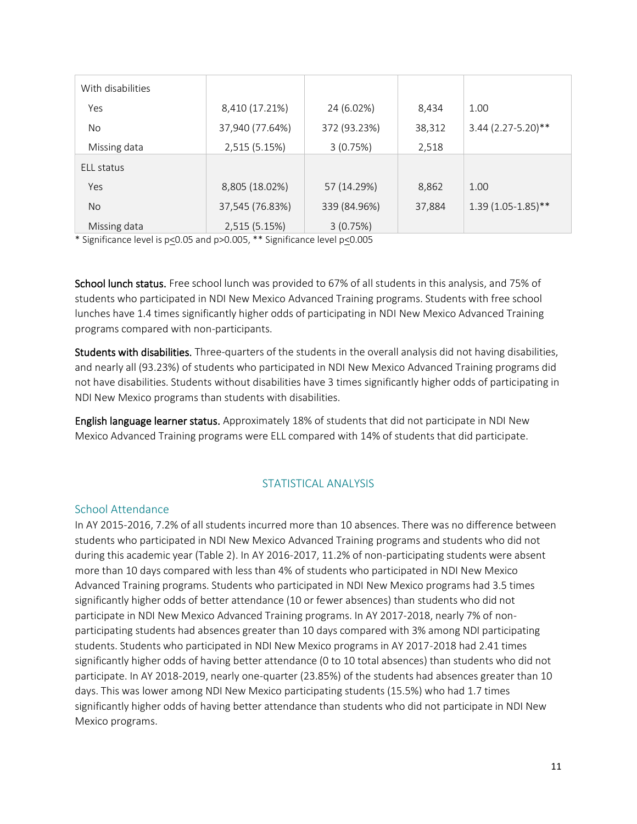| With disabilities |                 |              |        |                      |
|-------------------|-----------------|--------------|--------|----------------------|
| Yes               | 8,410 (17.21%)  | 24 (6.02%)   | 8,434  | 1.00                 |
| No.               | 37,940 (77.64%) | 372 (93.23%) | 38,312 | $3.44$ (2.27-5.20)** |
| Missing data      | 2,515 (5.15%)   | 3(0.75%)     | 2,518  |                      |
| ELL status        |                 |              |        |                      |
| Yes               | 8,805 (18.02%)  | 57 (14.29%)  | 8,862  | 1.00                 |
| <b>No</b>         | 37,545 (76.83%) | 339 (84.96%) | 37,884 | $1.39(1.05-1.85)$ ** |
| Missing data      | 2,515 (5.15%)   | 3(0.75%)     |        |                      |

\* Significance level is p<0.05 and p>0.005, \*\* Significance level p<0.005

School lunch status. Free school lunch was provided to 67% of all students in this analysis, and 75% of students who participated in NDI New Mexico Advanced Training programs. Students with free school lunches have 1.4 times significantly higher odds of participating in NDI New Mexico Advanced Training programs compared with non-participants.

Students with disabilities. Three-quarters of the students in the overall analysis did not having disabilities, and nearly all (93.23%) of students who participated in NDI New Mexico Advanced Training programs did not have disabilities. Students without disabilities have 3 times significantly higher odds of participating in NDI New Mexico programs than students with disabilities.

English language learner status. Approximately 18% of students that did not participate in NDI New Mexico Advanced Training programs were ELL compared with 14% of students that did participate.

# STATISTICAL ANALYSIS

#### School Attendance

In AY 2015-2016, 7.2% of all students incurred more than 10 absences. There was no difference between students who participated in NDI New Mexico Advanced Training programs and students who did not during this academic year (Table 2). In AY 2016-2017, 11.2% of non-participating students were absent more than 10 days compared with less than 4% of students who participated in NDI New Mexico Advanced Training programs. Students who participated in NDI New Mexico programs had 3.5 times significantly higher odds of better attendance (10 or fewer absences) than students who did not participate in NDI New Mexico Advanced Training programs. In AY 2017-2018, nearly 7% of nonparticipating students had absences greater than 10 days compared with 3% among NDI participating students. Students who participated in NDI New Mexico programs in AY 2017-2018 had 2.41 times significantly higher odds of having better attendance (0 to 10 total absences) than students who did not participate. In AY 2018-2019, nearly one-quarter (23.85%) of the students had absences greater than 10 days. This was lower among NDI New Mexico participating students (15.5%) who had 1.7 times significantly higher odds of having better attendance than students who did not participate in NDI New Mexico programs.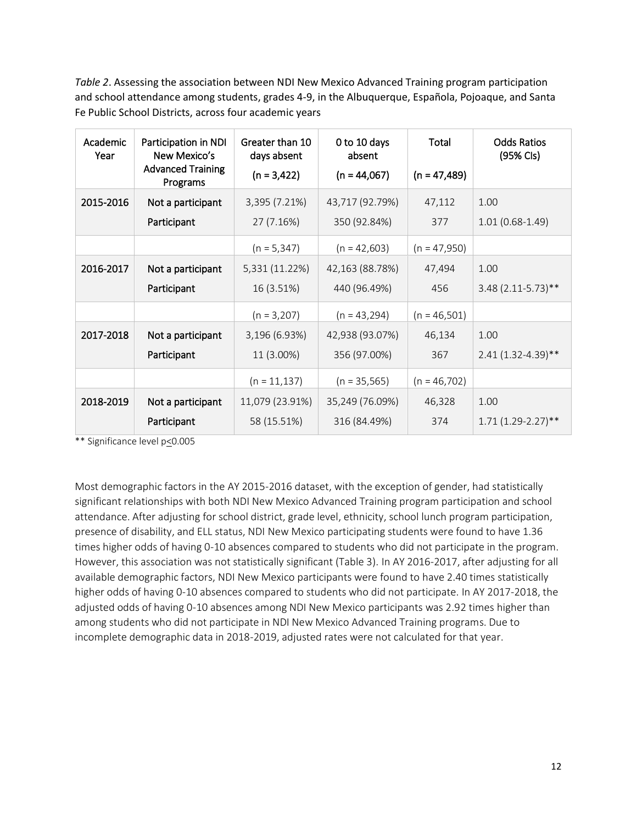*Table 2*. Assessing the association between NDI New Mexico Advanced Training program participation and school attendance among students, grades 4-9, in the Albuquerque, Española, Pojoaque, and Santa Fe Public School Districts, across four academic years

| Academic<br>Year | Participation in NDI<br>New Mexico's<br><b>Advanced Training</b><br>Programs | Greater than 10<br>days absent<br>$(n = 3,422)$ | 0 to 10 days<br>absent<br>$(n = 44,067)$ | Total<br>$(n = 47,489)$ | <b>Odds Ratios</b><br>(95% Cls) |
|------------------|------------------------------------------------------------------------------|-------------------------------------------------|------------------------------------------|-------------------------|---------------------------------|
| 2015-2016        | Not a participant<br>Participant                                             | 3,395 (7.21%)<br>27 (7.16%)                     | 43,717 (92.79%)<br>350 (92.84%)          | 47,112<br>377           | 1.00<br>$1.01(0.68-1.49)$       |
|                  |                                                                              | $(n = 5,347)$                                   | $(n = 42,603)$                           | $(n = 47,950)$          |                                 |
| 2016-2017        | Not a participant                                                            | 5,331 (11.22%)                                  | 42,163 (88.78%)                          | 47,494                  | 1.00                            |
|                  | Participant                                                                  | 16 (3.51%)                                      | 440 (96.49%)                             | 456                     | $3.48(2.11-5.73)$ **            |
|                  |                                                                              | $(n = 3,207)$                                   | $(n = 43,294)$                           | $(n = 46, 501)$         |                                 |
| 2017-2018        | Not a participant                                                            | 3,196 (6.93%)                                   | 42,938 (93.07%)                          | 46,134                  | 1.00                            |
|                  | Participant                                                                  | 11 (3.00%)                                      | 356 (97.00%)                             | 367                     | $2.41(1.32 - 4.39)$ **          |
|                  |                                                                              | $(n = 11, 137)$                                 | $(n = 35, 565)$                          | $(n = 46,702)$          |                                 |
| 2018-2019        | Not a participant                                                            | 11,079 (23.91%)                                 | 35,249 (76.09%)                          | 46,328                  | 1.00                            |
|                  | Participant                                                                  | 58 (15.51%)                                     | 316 (84.49%)                             | 374                     | $1.71(1.29-2.27)$ **            |

\*\* Significance level p<0.005

Most demographic factors in the AY 2015-2016 dataset, with the exception of gender, had statistically significant relationships with both NDI New Mexico Advanced Training program participation and school attendance. After adjusting for school district, grade level, ethnicity, school lunch program participation, presence of disability, and ELL status, NDI New Mexico participating students were found to have 1.36 times higher odds of having 0-10 absences compared to students who did not participate in the program. However, this association was not statistically significant (Table 3). In AY 2016-2017, after adjusting for all available demographic factors, NDI New Mexico participants were found to have 2.40 times statistically higher odds of having 0-10 absences compared to students who did not participate. In AY 2017-2018, the adjusted odds of having 0-10 absences among NDI New Mexico participants was 2.92 times higher than among students who did not participate in NDI New Mexico Advanced Training programs. Due to incomplete demographic data in 2018-2019, adjusted rates were not calculated for that year.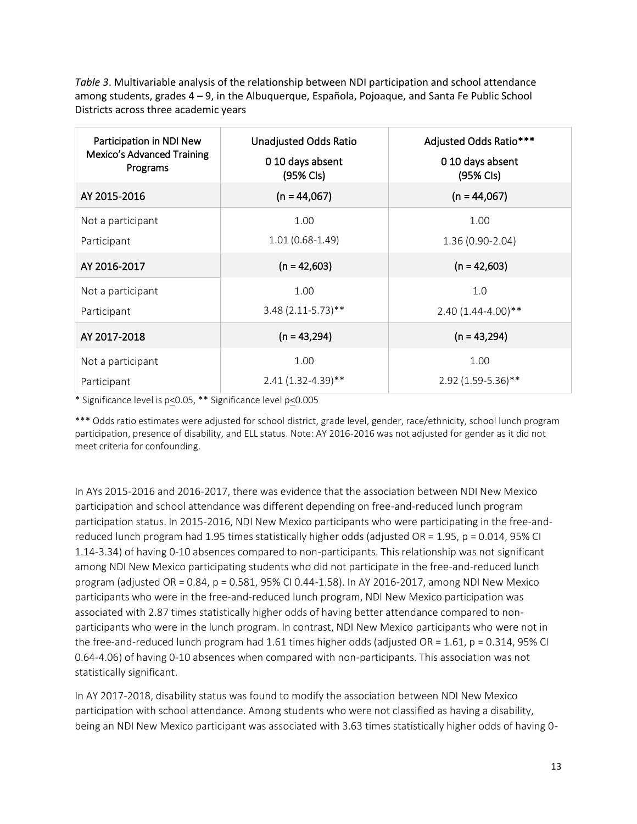*Table 3*. Multivariable analysis of the relationship between NDI participation and school attendance among students, grades 4 – 9, in the Albuquerque, Española, Pojoaque, and Santa Fe Public School Districts across three academic years

| Participation in NDI New<br><b>Mexico's Advanced Training</b><br>Programs | <b>Unadjusted Odds Ratio</b><br>010 days absent<br>(95% Cls) | Adjusted Odds Ratio***<br>010 days absent<br>(95% Cls) |
|---------------------------------------------------------------------------|--------------------------------------------------------------|--------------------------------------------------------|
| AY 2015-2016                                                              | $(n = 44,067)$                                               | $(n = 44,067)$                                         |
| Not a participant                                                         | 1.00                                                         | 1.00                                                   |
| Participant                                                               | $1.01(0.68-1.49)$                                            | 1.36 (0.90-2.04)                                       |
| AY 2016-2017                                                              | $(n = 42,603)$                                               | $(n = 42,603)$                                         |
| Not a participant                                                         | 1.00                                                         | 1.0                                                    |
| Participant                                                               | $3.48(2.11-5.73)$ **                                         | 2.40 (1.44-4.00)**                                     |
| AY 2017-2018                                                              | $(n = 43,294)$                                               | $(n = 43,294)$                                         |
| Not a participant                                                         | 1.00                                                         | 1.00                                                   |
| Participant                                                               | $2.41(1.32 - 4.39)$ **                                       | 2.92 (1.59-5.36)**                                     |

\* Significance level is p<0.05, \*\* Significance level p<0.005

\*\*\* Odds ratio estimates were adjusted for school district, grade level, gender, race/ethnicity, school lunch program participation, presence of disability, and ELL status. Note: AY 2016-2016 was not adjusted for gender as it did not meet criteria for confounding.

In AYs 2015-2016 and 2016-2017, there was evidence that the association between NDI New Mexico participation and school attendance was different depending on free-and-reduced lunch program participation status. In 2015-2016, NDI New Mexico participants who were participating in the free-andreduced lunch program had 1.95 times statistically higher odds (adjusted OR = 1.95, p = 0.014, 95% CI 1.14-3.34) of having 0-10 absences compared to non-participants. This relationship was not significant among NDI New Mexico participating students who did not participate in the free-and-reduced lunch program (adjusted OR = 0.84, p = 0.581, 95% CI 0.44-1.58). In AY 2016-2017, among NDI New Mexico participants who were in the free-and-reduced lunch program, NDI New Mexico participation was associated with 2.87 times statistically higher odds of having better attendance compared to nonparticipants who were in the lunch program. In contrast, NDI New Mexico participants who were not in the free-and-reduced lunch program had 1.61 times higher odds (adjusted OR = 1.61, p = 0.314, 95% CI 0.64-4.06) of having 0-10 absences when compared with non-participants. This association was not statistically significant.

In AY 2017-2018, disability status was found to modify the association between NDI New Mexico participation with school attendance. Among students who were not classified as having a disability, being an NDI New Mexico participant was associated with 3.63 times statistically higher odds of having 0-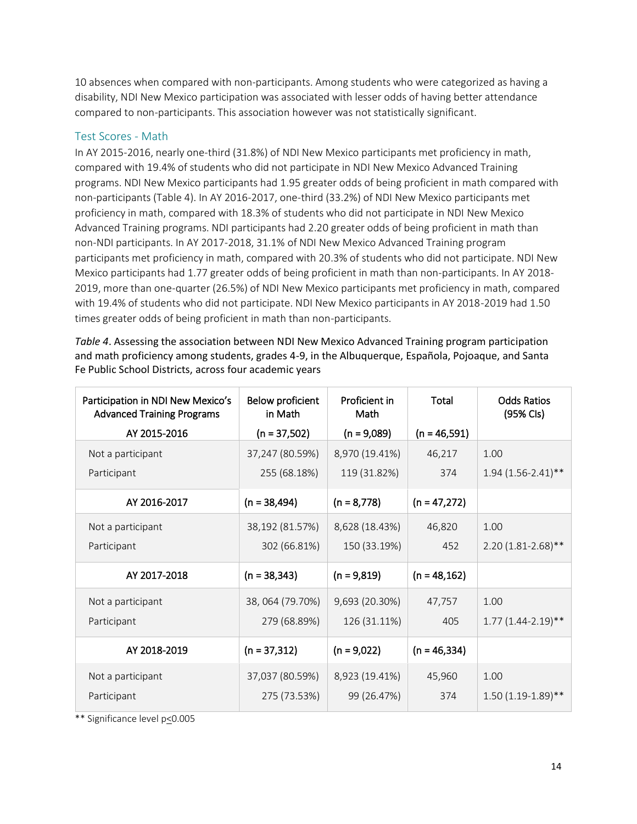10 absences when compared with non-participants. Among students who were categorized as having a disability, NDI New Mexico participation was associated with lesser odds of having better attendance compared to non-participants. This association however was not statistically significant.

#### Test Scores - Math

In AY 2015-2016, nearly one-third (31.8%) of NDI New Mexico participants met proficiency in math, compared with 19.4% of students who did not participate in NDI New Mexico Advanced Training programs. NDI New Mexico participants had 1.95 greater odds of being proficient in math compared with non-participants (Table 4). In AY 2016-2017, one-third (33.2%) of NDI New Mexico participants met proficiency in math, compared with 18.3% of students who did not participate in NDI New Mexico Advanced Training programs. NDI participants had 2.20 greater odds of being proficient in math than non-NDI participants. In AY 2017-2018, 31.1% of NDI New Mexico Advanced Training program participants met proficiency in math, compared with 20.3% of students who did not participate. NDI New Mexico participants had 1.77 greater odds of being proficient in math than non-participants. In AY 2018- 2019, more than one-quarter (26.5%) of NDI New Mexico participants met proficiency in math, compared with 19.4% of students who did not participate. NDI New Mexico participants in AY 2018-2019 had 1.50 times greater odds of being proficient in math than non-participants.

*Table 4*. Assessing the association between NDI New Mexico Advanced Training program participation and math proficiency among students, grades 4-9, in the Albuquerque, Española, Pojoaque, and Santa Fe Public School Districts, across four academic years

| Participation in NDI New Mexico's<br><b>Advanced Training Programs</b><br>AY 2015-2016 | Below proficient<br>in Math<br>$(n = 37,502)$ | Proficient in<br>Math<br>$(n = 9,089)$ | Total<br>$(n = 46,591)$ | <b>Odds Ratios</b><br>(95% Cls) |
|----------------------------------------------------------------------------------------|-----------------------------------------------|----------------------------------------|-------------------------|---------------------------------|
| Not a participant                                                                      | 37,247 (80.59%)                               | 8,970 (19.41%)                         | 46,217                  | 1.00                            |
| Participant                                                                            | 255 (68.18%)                                  | 119 (31.82%)                           | 374                     | $1.94(1.56-2.41)$ **            |
| AY 2016-2017                                                                           | $(n = 38,494)$                                | $(n = 8,778)$                          | $(n = 47,272)$          |                                 |
| Not a participant                                                                      | 38,192 (81.57%)                               | 8,628 (18.43%)                         | 46,820                  | 1.00                            |
| Participant                                                                            | 302 (66.81%)                                  | 150 (33.19%)                           | 452                     | 2.20 (1.81-2.68)**              |
| AY 2017-2018                                                                           | $(n = 38, 343)$                               | $(n = 9,819)$                          | $(n = 48, 162)$         |                                 |
| Not a participant                                                                      | 38, 064 (79.70%)                              | 9,693 (20.30%)                         | 47,757                  | 1.00                            |
| Participant                                                                            | 279 (68.89%)                                  | 126 (31.11%)                           | 405                     | $1.77(1.44 - 2.19)$ **          |
| AY 2018-2019                                                                           | $(n = 37, 312)$                               | $(n = 9,022)$                          | $(n = 46, 334)$         |                                 |
| Not a participant                                                                      | 37,037 (80.59%)                               | 8,923 (19.41%)                         | 45,960                  | 1.00                            |
| Participant                                                                            | 275 (73.53%)                                  | 99 (26.47%)                            | 374                     | $1.50(1.19-1.89)$ **            |

\*\* Significance level p<0.005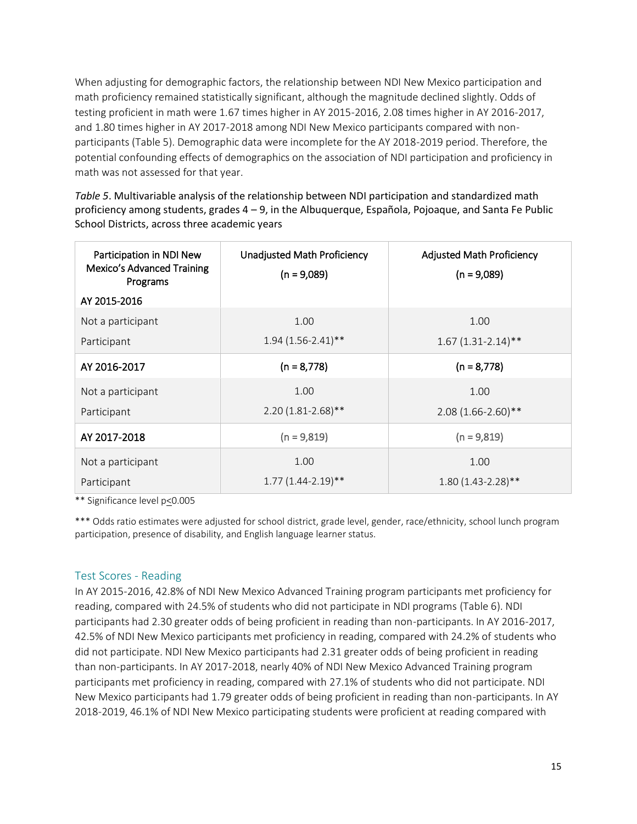When adjusting for demographic factors, the relationship between NDI New Mexico participation and math proficiency remained statistically significant, although the magnitude declined slightly. Odds of testing proficient in math were 1.67 times higher in AY 2015-2016, 2.08 times higher in AY 2016-2017, and 1.80 times higher in AY 2017-2018 among NDI New Mexico participants compared with nonparticipants (Table 5). Demographic data were incomplete for the AY 2018-2019 period. Therefore, the potential confounding effects of demographics on the association of NDI participation and proficiency in math was not assessed for that year.

*Table 5*. Multivariable analysis of the relationship between NDI participation and standardized math proficiency among students, grades 4 – 9, in the Albuquerque, Española, Pojoaque, and Santa Fe Public School Districts, across three academic years

| Participation in NDI New<br>Mexico's Advanced Training<br>Programs | <b>Unadjusted Math Proficiency</b><br>$(n = 9,089)$ | <b>Adjusted Math Proficiency</b><br>$(n = 9,089)$ |
|--------------------------------------------------------------------|-----------------------------------------------------|---------------------------------------------------|
| AY 2015-2016                                                       |                                                     |                                                   |
| Not a participant<br>Participant                                   | 1.00<br>$1.94(1.56 - 2.41)$ **                      | 1.00<br>$1.67(1.31-2.14)$ **                      |
| AY 2016-2017                                                       | $(n = 8,778)$                                       | $(n = 8,778)$                                     |
| Not a participant<br>Participant                                   | 1.00<br>$2.20(1.81 - 2.68)$ **                      | 1.00<br>$2.08(1.66 - 2.60)$ **                    |
| AY 2017-2018                                                       | $(n = 9,819)$                                       | $(n = 9,819)$                                     |
| Not a participant<br>Participant                                   | 1.00<br>$1.77(1.44 - 2.19)$ **                      | 1.00<br>$1.80(1.43-2.28)$ **                      |

\*\* Significance level p<0.005

\*\*\* Odds ratio estimates were adjusted for school district, grade level, gender, race/ethnicity, school lunch program participation, presence of disability, and English language learner status.

#### Test Scores - Reading

In AY 2015-2016, 42.8% of NDI New Mexico Advanced Training program participants met proficiency for reading, compared with 24.5% of students who did not participate in NDI programs (Table 6). NDI participants had 2.30 greater odds of being proficient in reading than non-participants. In AY 2016-2017, 42.5% of NDI New Mexico participants met proficiency in reading, compared with 24.2% of students who did not participate. NDI New Mexico participants had 2.31 greater odds of being proficient in reading than non-participants. In AY 2017-2018, nearly 40% of NDI New Mexico Advanced Training program participants met proficiency in reading, compared with 27.1% of students who did not participate. NDI New Mexico participants had 1.79 greater odds of being proficient in reading than non-participants. In AY 2018-2019, 46.1% of NDI New Mexico participating students were proficient at reading compared with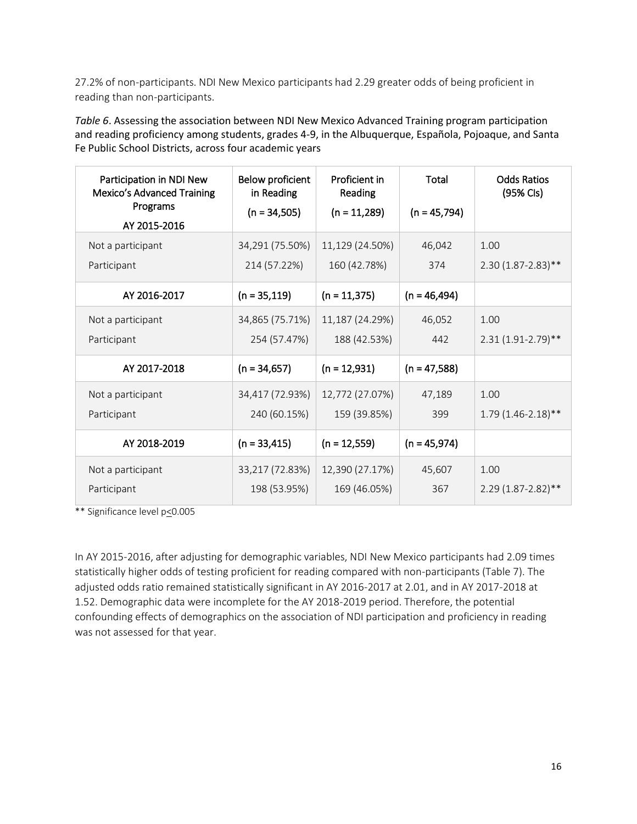27.2% of non-participants. NDI New Mexico participants had 2.29 greater odds of being proficient in reading than non-participants.

*Table 6*. Assessing the association between NDI New Mexico Advanced Training program participation and reading proficiency among students, grades 4-9, in the Albuquerque, Española, Pojoaque, and Santa Fe Public School Districts, across four academic years

| Participation in NDI New<br><b>Mexico's Advanced Training</b><br>Programs<br>AY 2015-2016 | Below proficient<br>in Reading<br>$(n = 34,505)$ | Proficient in<br>Reading<br>$(n = 11,289)$ | Total<br>$(n = 45,794)$ | <b>Odds Ratios</b><br>(95% Cls) |
|-------------------------------------------------------------------------------------------|--------------------------------------------------|--------------------------------------------|-------------------------|---------------------------------|
| Not a participant                                                                         | 34,291 (75.50%)                                  | 11,129 (24.50%)                            | 46,042                  | 1.00                            |
| Participant                                                                               | 214 (57.22%)                                     | 160 (42.78%)                               | 374                     | $2.30(1.87 - 2.83)$ **          |
| AY 2016-2017                                                                              | $(n = 35, 119)$                                  | $(n = 11,375)$                             | $(n = 46, 494)$         |                                 |
| Not a participant                                                                         | 34,865 (75.71%)                                  | 11,187 (24.29%)                            | 46,052                  | 1.00                            |
| Participant                                                                               | 254 (57.47%)                                     | 188 (42.53%)                               | 442                     | $2.31(1.91 - 2.79)$ **          |
| AY 2017-2018                                                                              | $(n = 34,657)$                                   | $(n = 12,931)$                             | $(n = 47,588)$          |                                 |
| Not a participant                                                                         | 34,417 (72.93%)                                  | 12,772 (27.07%)                            | 47,189                  | 1.00                            |
| Participant                                                                               | 240 (60.15%)                                     | 159 (39.85%)                               | 399                     | $1.79(1.46 - 2.18)$ **          |
| AY 2018-2019                                                                              | $(n = 33,415)$                                   | $(n = 12,559)$                             | $(n = 45,974)$          |                                 |
| Not a participant                                                                         | 33,217 (72.83%)                                  | 12,390 (27.17%)                            | 45,607                  | 1.00                            |
| Participant                                                                               | 198 (53.95%)                                     | 169 (46.05%)                               | 367                     | $2.29(1.87 - 2.82)$ **          |

\*\* Significance level p<0.005

In AY 2015-2016, after adjusting for demographic variables, NDI New Mexico participants had 2.09 times statistically higher odds of testing proficient for reading compared with non-participants (Table 7). The adjusted odds ratio remained statistically significant in AY 2016-2017 at 2.01, and in AY 2017-2018 at 1.52. Demographic data were incomplete for the AY 2018-2019 period. Therefore, the potential confounding effects of demographics on the association of NDI participation and proficiency in reading was not assessed for that year.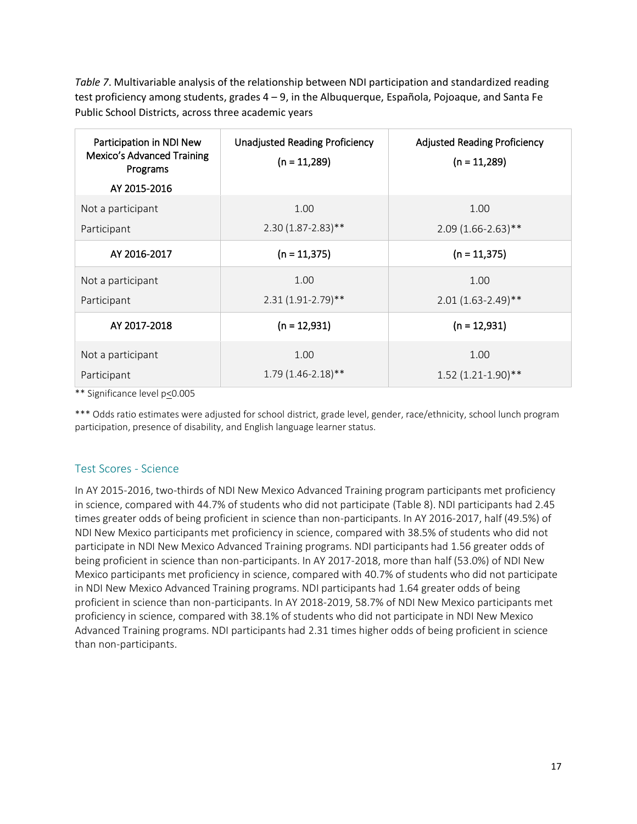*Table 7*. Multivariable analysis of the relationship between NDI participation and standardized reading test proficiency among students, grades 4 – 9, in the Albuquerque, Española, Pojoaque, and Santa Fe Public School Districts, across three academic years

| Participation in NDI New<br>Mexico's Advanced Training<br>Programs<br>AY 2015-2016 | <b>Unadjusted Reading Proficiency</b><br>$(n = 11,289)$ | <b>Adjusted Reading Proficiency</b><br>$(n = 11,289)$ |
|------------------------------------------------------------------------------------|---------------------------------------------------------|-------------------------------------------------------|
| Not a participant                                                                  | 1.00                                                    | 1.00                                                  |
| Participant                                                                        | $2.30(1.87 - 2.83)$ **                                  | $2.09(1.66 - 2.63)$ **                                |
| AY 2016-2017                                                                       | $(n = 11,375)$                                          | $(n = 11,375)$                                        |
| Not a participant                                                                  | 1.00                                                    | 1.00                                                  |
| Participant                                                                        | $2.31(1.91 - 2.79)$ **                                  | $2.01(1.63 - 2.49)$ **                                |
| AY 2017-2018                                                                       | $(n = 12,931)$                                          | $(n = 12,931)$                                        |
| Not a participant                                                                  | 1.00                                                    | 1.00                                                  |
| Participant                                                                        | $1.79(1.46 - 2.18)$ **                                  | 1.52 (1.21-1.90)**                                    |

\*\* Significance level p<0.005

\*\*\* Odds ratio estimates were adjusted for school district, grade level, gender, race/ethnicity, school lunch program participation, presence of disability, and English language learner status.

# Test Scores - Science

In AY 2015-2016, two-thirds of NDI New Mexico Advanced Training program participants met proficiency in science, compared with 44.7% of students who did not participate (Table 8). NDI participants had 2.45 times greater odds of being proficient in science than non-participants. In AY 2016-2017, half (49.5%) of NDI New Mexico participants met proficiency in science, compared with 38.5% of students who did not participate in NDI New Mexico Advanced Training programs. NDI participants had 1.56 greater odds of being proficient in science than non-participants. In AY 2017-2018, more than half (53.0%) of NDI New Mexico participants met proficiency in science, compared with 40.7% of students who did not participate in NDI New Mexico Advanced Training programs. NDI participants had 1.64 greater odds of being proficient in science than non-participants. In AY 2018-2019, 58.7% of NDI New Mexico participants met proficiency in science, compared with 38.1% of students who did not participate in NDI New Mexico Advanced Training programs. NDI participants had 2.31 times higher odds of being proficient in science than non-participants.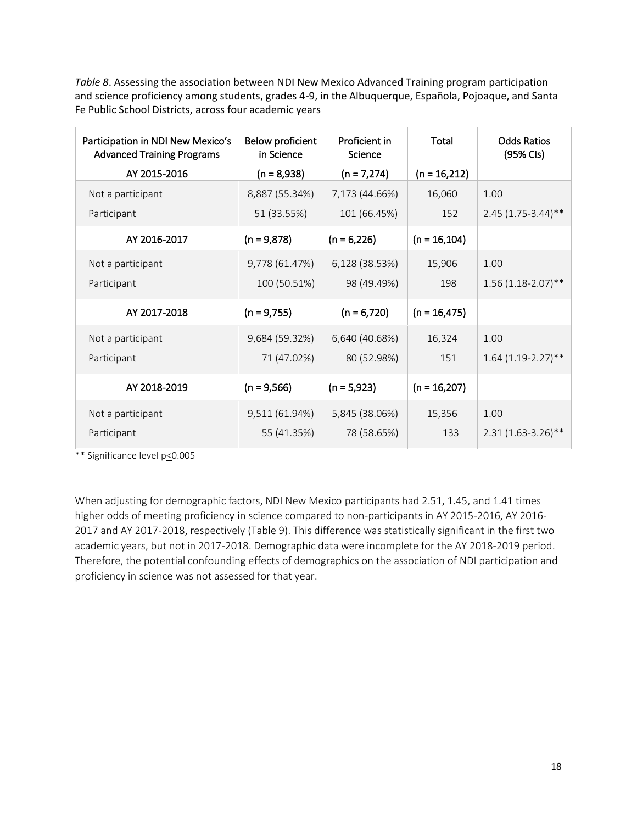*Table 8*. Assessing the association between NDI New Mexico Advanced Training program participation and science proficiency among students, grades 4-9, in the Albuquerque, Española, Pojoaque, and Santa Fe Public School Districts, across four academic years

| Participation in NDI New Mexico's<br><b>Advanced Training Programs</b> | Below proficient<br>in Science | Proficient in<br>Science | Total           | <b>Odds Ratios</b><br>(95% Cls) |
|------------------------------------------------------------------------|--------------------------------|--------------------------|-----------------|---------------------------------|
| AY 2015-2016                                                           | $(n = 8,938)$                  | $(n = 7,274)$            | $(n = 16,212)$  |                                 |
| Not a participant                                                      | 8,887 (55.34%)                 | 7,173 (44.66%)           | 16,060          | 1.00                            |
| Participant                                                            | 51 (33.55%)                    | 101 (66.45%)             | 152             | $2.45(1.75-3.44)$ **            |
| AY 2016-2017                                                           | $(n = 9,878)$                  | $(n = 6,226)$            | $(n = 16, 104)$ |                                 |
| Not a participant                                                      | 9,778 (61.47%)                 | 6,128 (38.53%)           | 15,906          | 1.00                            |
| Participant                                                            | 100 (50.51%)                   | 98 (49.49%)              | 198             | $1.56(1.18-2.07)$ **            |
| AY 2017-2018                                                           | $(n = 9,755)$                  | $(n = 6,720)$            | $(n = 16, 475)$ |                                 |
| Not a participant                                                      | 9,684 (59.32%)                 | 6,640 (40.68%)           | 16,324          | 1.00                            |
| Participant                                                            | 71 (47.02%)                    | 80 (52.98%)              | 151             | $1.64(1.19-2.27)$ **            |
| AY 2018-2019                                                           | $(n = 9,566)$                  | $(n = 5,923)$            | $(n = 16,207)$  |                                 |
| Not a participant                                                      | 9,511 (61.94%)                 | 5,845 (38.06%)           | 15,356          | 1.00                            |
| Participant                                                            | 55 (41.35%)                    | 78 (58.65%)              | 133             | $2.31(1.63-3.26)$ **            |

\*\* Significance level p<0.005

When adjusting for demographic factors, NDI New Mexico participants had 2.51, 1.45, and 1.41 times higher odds of meeting proficiency in science compared to non-participants in AY 2015-2016, AY 2016- 2017 and AY 2017-2018, respectively (Table 9). This difference was statistically significant in the first two academic years, but not in 2017-2018. Demographic data were incomplete for the AY 2018-2019 period. Therefore, the potential confounding effects of demographics on the association of NDI participation and proficiency in science was not assessed for that year.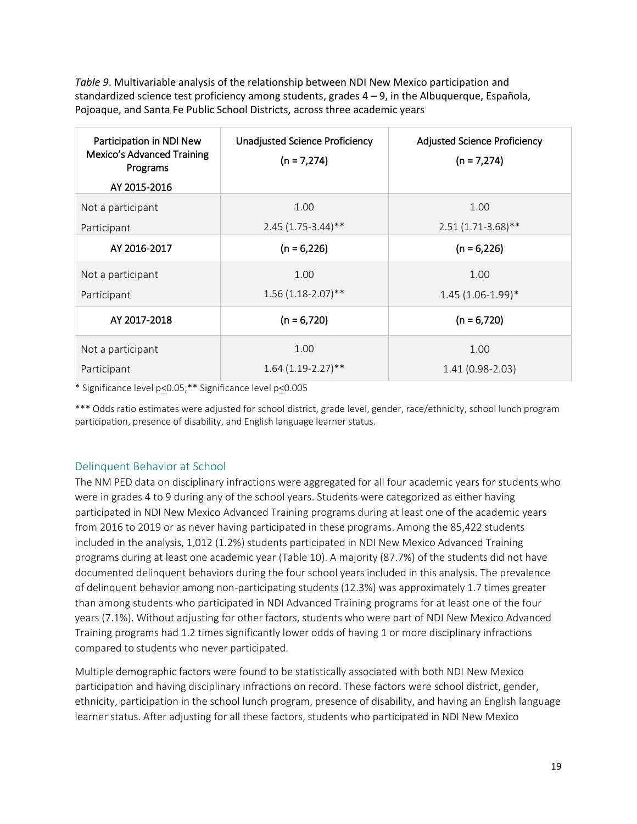*Table 9*. Multivariable analysis of the relationship between NDI New Mexico participation and standardized science test proficiency among students, grades 4 – 9, in the Albuquerque, Española, Pojoaque, and Santa Fe Public School Districts, across three academic years

| Participation in NDI New<br>Mexico's Advanced Training<br>Programs | Unadjusted Science Proficiency<br>$(n = 7,274)$ | <b>Adjusted Science Proficiency</b><br>$(n = 7,274)$ |
|--------------------------------------------------------------------|-------------------------------------------------|------------------------------------------------------|
| AY 2015-2016                                                       |                                                 |                                                      |
| Not a participant                                                  | 1.00                                            | 1.00                                                 |
| Participant                                                        | $2.45(1.75-3.44)$ **                            | $2.51(1.71-3.68)$ **                                 |
| AY 2016-2017                                                       | $(n = 6,226)$                                   | $(n = 6,226)$                                        |
| Not a participant                                                  | 1.00                                            | 1.00                                                 |
| Participant                                                        | $1.56(1.18-2.07)$ **                            | $1.45(1.06-1.99)*$                                   |
| AY 2017-2018                                                       | $(n = 6,720)$                                   | $(n = 6,720)$                                        |
| Not a participant                                                  | 1.00                                            | 1.00                                                 |
| Participant                                                        | $1.64(1.19-2.27)$ **                            | $1.41(0.98-2.03)$                                    |

\* Significance level p<0.05;\*\* Significance level p<0.005

\*\*\* Odds ratio estimates were adjusted for school district, grade level, gender, race/ethnicity, school lunch program participation, presence of disability, and English language learner status.

#### Delinquent Behavior at School

The NM PED data on disciplinary infractions were aggregated for all four academic years for students who were in grades 4 to 9 during any of the school years. Students were categorized as either having participated in NDI New Mexico Advanced Training programs during at least one of the academic years from 2016 to 2019 or as never having participated in these programs. Among the 85,422 students included in the analysis, 1,012 (1.2%) students participated in NDI New Mexico Advanced Training programs during at least one academic year (Table 10). A majority (87.7%) of the students did not have documented delinquent behaviors during the four school years included in this analysis. The prevalence of delinquent behavior among non-participating students (12.3%) was approximately 1.7 times greater than among students who participated in NDI Advanced Training programs for at least one of the four years (7.1%). Without adjusting for other factors, students who were part of NDI New Mexico Advanced Training programs had 1.2 times significantly lower odds of having 1 or more disciplinary infractions compared to students who never participated.

Multiple demographic factors were found to be statistically associated with both NDI New Mexico participation and having disciplinary infractions on record. These factors were school district, gender, ethnicity, participation in the school lunch program, presence of disability, and having an English language learner status. After adjusting for all these factors, students who participated in NDI New Mexico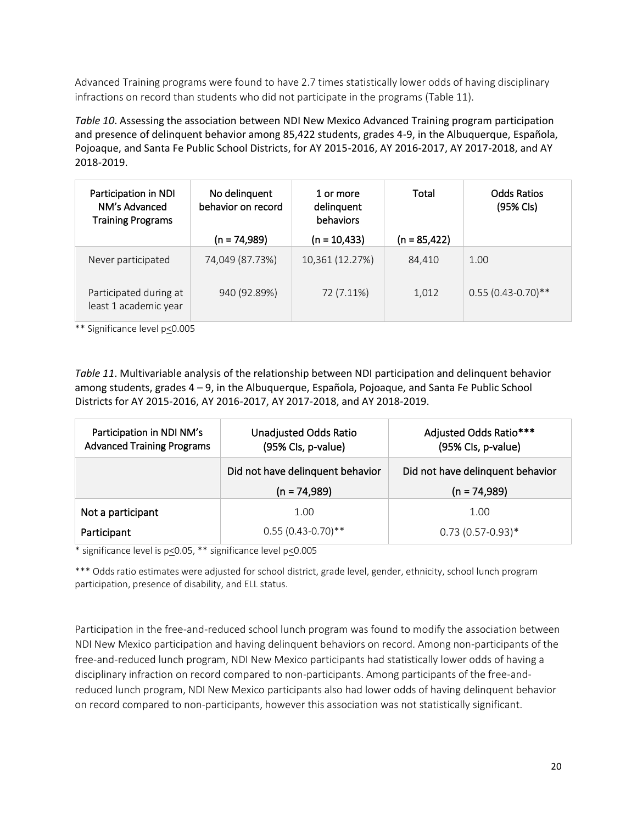Advanced Training programs were found to have 2.7 times statistically lower odds of having disciplinary infractions on record than students who did not participate in the programs (Table 11).

*Table 10*. Assessing the association between NDI New Mexico Advanced Training program participation and presence of delinquent behavior among 85,422 students, grades 4-9, in the Albuquerque, Española, Pojoaque, and Santa Fe Public School Districts, for AY 2015-2016, AY 2016-2017, AY 2017-2018, and AY 2018-2019.

| Participation in NDI<br>NM's Advanced<br><b>Training Programs</b> | No delinquent<br>behavior on record | 1 or more<br>delinquent<br>behaviors | Total           | <b>Odds Ratios</b><br>(95% Cls) |
|-------------------------------------------------------------------|-------------------------------------|--------------------------------------|-----------------|---------------------------------|
|                                                                   | $(n = 74,989)$                      | $(n = 10,433)$                       | $(n = 85, 422)$ |                                 |
| Never participated                                                | 74,049 (87.73%)                     | 10,361 (12.27%)                      | 84,410          | 1.00                            |
| Participated during at<br>least 1 academic year                   | 940 (92.89%)                        | 72 (7.11%)                           | 1,012           | $0.55(0.43-0.70)$ **            |

\*\* Significance level p<0.005

*Table 11*. Multivariable analysis of the relationship between NDI participation and delinquent behavior among students, grades 4 – 9, in the Albuquerque, Española, Pojoaque, and Santa Fe Public School Districts for AY 2015-2016, AY 2016-2017, AY 2017-2018, and AY 2018-2019.

| Participation in NDI NM's<br><b>Advanced Training Programs</b> | <b>Unadjusted Odds Ratio</b><br>(95% Cls, p-value) | Adjusted Odds Ratio***<br>(95% Cls, p-value) |
|----------------------------------------------------------------|----------------------------------------------------|----------------------------------------------|
|                                                                | Did not have delinguent behavior                   | Did not have delinquent behavior             |
|                                                                | $(n = 74,989)$                                     | $(n = 74,989)$                               |
|                                                                |                                                    |                                              |
| Not a participant                                              | 1.00                                               | 1.00                                         |

\* significance level is p<0.05, \*\* significance level p<0.005

\*\*\* Odds ratio estimates were adjusted for school district, grade level, gender, ethnicity, school lunch program participation, presence of disability, and ELL status.

Participation in the free-and-reduced school lunch program was found to modify the association between NDI New Mexico participation and having delinquent behaviors on record. Among non-participants of the free-and-reduced lunch program, NDI New Mexico participants had statistically lower odds of having a disciplinary infraction on record compared to non-participants. Among participants of the free-andreduced lunch program, NDI New Mexico participants also had lower odds of having delinquent behavior on record compared to non-participants, however this association was not statistically significant.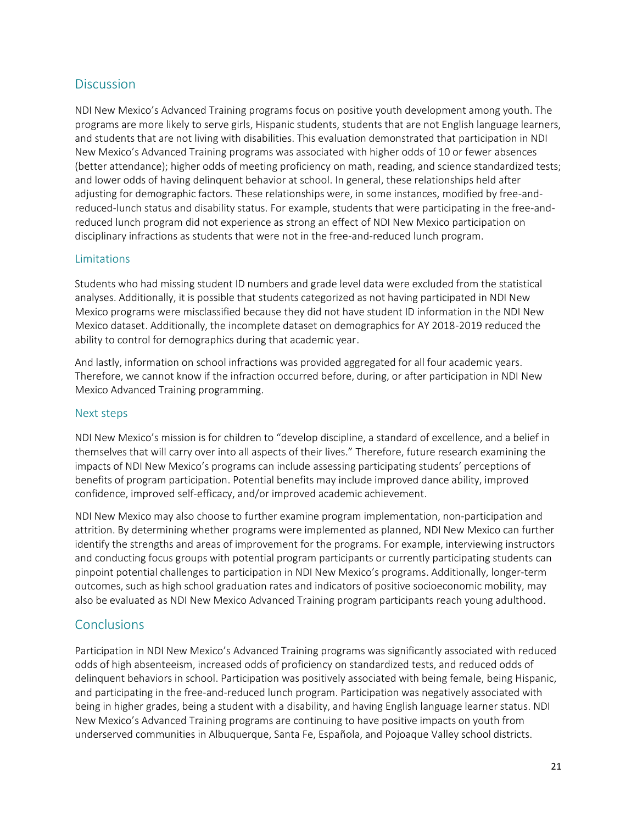# **Discussion**

NDI New Mexico's Advanced Training programs focus on positive youth development among youth. The programs are more likely to serve girls, Hispanic students, students that are not English language learners, and students that are not living with disabilities. This evaluation demonstrated that participation in NDI New Mexico's Advanced Training programs was associated with higher odds of 10 or fewer absences (better attendance); higher odds of meeting proficiency on math, reading, and science standardized tests; and lower odds of having delinquent behavior at school. In general, these relationships held after adjusting for demographic factors. These relationships were, in some instances, modified by free-andreduced-lunch status and disability status. For example, students that were participating in the free-andreduced lunch program did not experience as strong an effect of NDI New Mexico participation on disciplinary infractions as students that were not in the free-and-reduced lunch program.

#### Limitations

Students who had missing student ID numbers and grade level data were excluded from the statistical analyses. Additionally, it is possible that students categorized as not having participated in NDI New Mexico programs were misclassified because they did not have student ID information in the NDI New Mexico dataset. Additionally, the incomplete dataset on demographics for AY 2018-2019 reduced the ability to control for demographics during that academic year.

And lastly, information on school infractions was provided aggregated for all four academic years. Therefore, we cannot know if the infraction occurred before, during, or after participation in NDI New Mexico Advanced Training programming.

#### Next steps

NDI New Mexico's mission is for children to "develop discipline, a standard of excellence, and a belief in themselves that will carry over into all aspects of their lives." Therefore, future research examining the impacts of NDI New Mexico's programs can include assessing participating students' perceptions of benefits of program participation. Potential benefits may include improved dance ability, improved confidence, improved self-efficacy, and/or improved academic achievement.

NDI New Mexico may also choose to further examine program implementation, non-participation and attrition. By determining whether programs were implemented as planned, NDI New Mexico can further identify the strengths and areas of improvement for the programs. For example, interviewing instructors and conducting focus groups with potential program participants or currently participating students can pinpoint potential challenges to participation in NDI New Mexico's programs. Additionally, longer-term outcomes, such as high school graduation rates and indicators of positive socioeconomic mobility, may also be evaluated as NDI New Mexico Advanced Training program participants reach young adulthood.

# **Conclusions**

Participation in NDI New Mexico's Advanced Training programs was significantly associated with reduced odds of high absenteeism, increased odds of proficiency on standardized tests, and reduced odds of delinquent behaviors in school. Participation was positively associated with being female, being Hispanic, and participating in the free-and-reduced lunch program. Participation was negatively associated with being in higher grades, being a student with a disability, and having English language learner status. NDI New Mexico's Advanced Training programs are continuing to have positive impacts on youth from underserved communities in Albuquerque, Santa Fe, Española, and Pojoaque Valley school districts.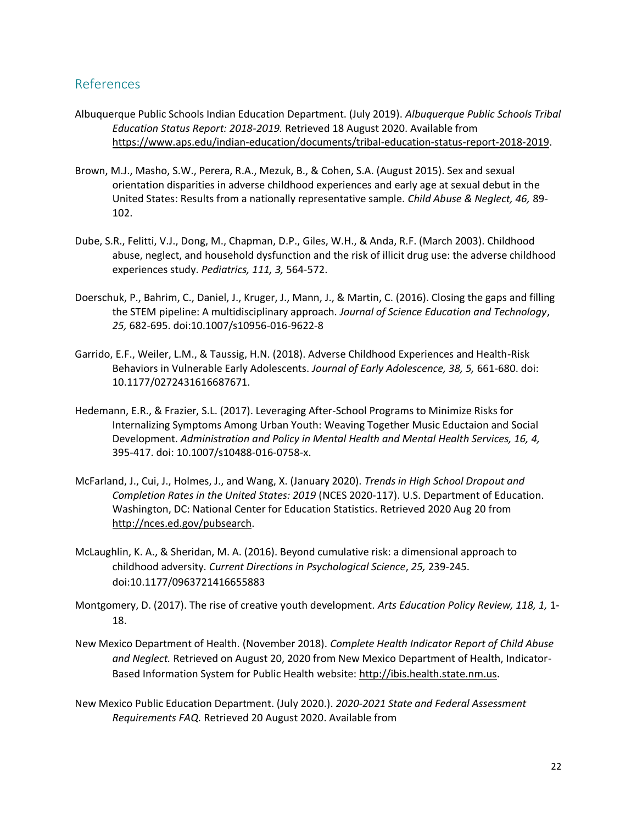# References

- Albuquerque Public Schools Indian Education Department. (July 2019). *Albuquerque Public Schools Tribal Education Status Report: 2018-2019.* Retrieved 18 August 2020. Available from [https://www.aps.edu/indian-education/documents/tribal-education-status-report-2018-2019.](https://www.aps.edu/indian-education/documents/tribal-education-status-report-2018-2019)
- Brown, M.J., Masho, S.W., Perera, R.A., Mezuk, B., & Cohen, S.A. (August 2015). Sex and sexual orientation disparities in adverse childhood experiences and early age at sexual debut in the United States: Results from a nationally representative sample. *Child Abuse & Neglect, 46,* 89- 102.
- Dube, S.R., Felitti, V.J., Dong, M., Chapman, D.P., Giles, W.H., & Anda, R.F. (March 2003). Childhood abuse, neglect, and household dysfunction and the risk of illicit drug use: the adverse childhood experiences study. *Pediatrics, 111, 3,* 564-572.
- Doerschuk, P., Bahrim, C., Daniel, J., Kruger, J., Mann, J., & Martin, C. (2016). Closing the gaps and filling the STEM pipeline: A multidisciplinary approach. *Journal of Science Education and Technology*, *25,* 682-695. doi:10.1007/s10956-016-9622-8
- Garrido, E.F., Weiler, L.M., & Taussig, H.N. (2018). Adverse Childhood Experiences and Health-Risk Behaviors in Vulnerable Early Adolescents. *Journal of Early Adolescence, 38, 5,* 661-680. doi: 10.1177/0272431616687671.
- Hedemann, E.R., & Frazier, S.L. (2017). Leveraging After-School Programs to Minimize Risks for Internalizing Symptoms Among Urban Youth: Weaving Together Music Eductaion and Social Development. *Administration and Policy in Mental Health and Mental Health Services, 16, 4,*  395-417. doi: 10.1007/s10488-016-0758-x.
- McFarland, J., Cui, J., Holmes, J., and Wang, X. (January 2020). *Trends in High School Dropout and Completion Rates in the United States: 2019* (NCES 2020-117). U.S. Department of Education. Washington, DC: National Center for Education Statistics. Retrieved 2020 Aug 20 from [http://nces.ed.gov/pubsearch.](http://nces.ed.gov/pubsearch)
- McLaughlin, K. A., & Sheridan, M. A. (2016). Beyond cumulative risk: a dimensional approach to childhood adversity. *Current Directions in Psychological Science*, *25,* 239-245. doi:10.1177/0963721416655883
- Montgomery, D. (2017). The rise of creative youth development. *Arts Education Policy Review, 118, 1,* 1- 18.
- New Mexico Department of Health. (November 2018). *Complete Health Indicator Report of Child Abuse and Neglect.* Retrieved on August 20, 2020 from New Mexico Department of Health, Indicator-Based Information System for Public Health website: [http://ibis.health.state.nm.us.](http://ibis.health.state.nm.us/)
- New Mexico Public Education Department. (July 2020.). *2020-2021 State and Federal Assessment Requirements FAQ.* Retrieved 20 August 2020. Available from